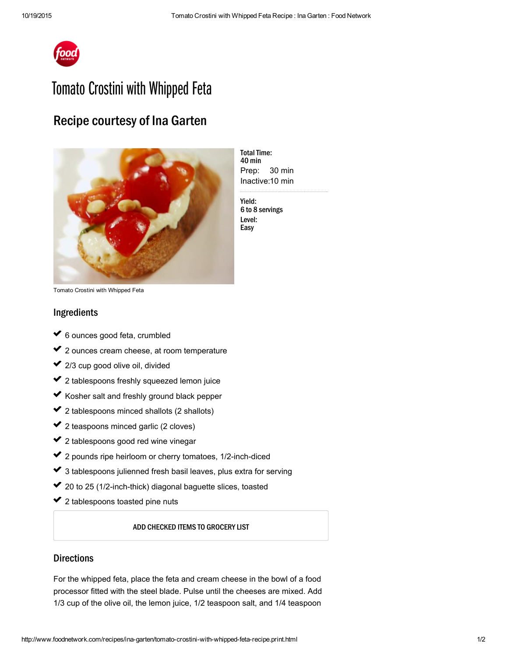

# Tomato Crostini with Whipped Feta

## Recipe courtesy of Ina Garten



Prep: 30 min Inactive: 10 min **Total Time:** 40 min

Yield: 6 to 8 servings Level: Easy

Tomato Crostini with Whipped Feta

### Ingredients

- 6 ounces good feta, crumbled usik<br>Sala ✔ 6 ✓
- 2 ounces cream [cheese](http://www.foodterms.com/encyclopedia/cream-cheese/index.html), at room temperature ✔ 2  $\mathcal{L}^{\mathcal{L}}$
- 2/3 cup good [olive](http://www.foodterms.com/encyclopedia/olive-oil/index.html) oil, divided ✔ 2 ✓
- 2 tablespoons freshly squeezed lemon juice ✔ 2  $\mathcal{L}^{\mathcal{L}}$
- Kosher salt and freshly ground black pepper ✓  $\mathcal{L}^{\mathcal{L}}$
- 2 tablespoons minced shallots (2 [shallots\)](http://www.foodterms.com/encyclopedia/shallot/index.html) ✔ 2 ✓
- 2 teaspoons minced garlic (2 cloves) ✔ 2  $\mathcal{L}^{\mathcal{L}}$
- 2 tablespoons good red wine [vinegar](http://www.foodterms.com/encyclopedia/vinegar/index.html) ✔ 2  $\mathcal{L}^{\mathcal{L}}$
- 2 pounds ripe heirloom or cherry [tomatoes,](http://www.foodterms.com/encyclopedia/tomato/index.html) 1/2-inch-diced ✔ 2 ✓
- 3 tablespoons julienned fresh basil leaves, plus extra for serving ✔ ३ ✓
- 20 to 25 (1/2-inch-thick) diagonal [baguette](http://www.foodterms.com/encyclopedia/baguette/index.html) slices, toasted ✔ 2  $\sim$
- 2 tablespoons toasted pine [nuts](http://www.foodterms.com/encyclopedia/pine-nut/index.html) ✔ 2

#### ADD CHECKED ITEMS TO GROCERY LIST

### **Directions**

For the whipped feta, place the feta and cream cheese in the bowl of a food [processor](http://www.foodterms.com/encyclopedia/food-processor/index.html) fitted with the steel blade. Pulse until the cheeses are mixed. Add 1/3 cup of the olive oil, the [lemon](http://www.foodterms.com/encyclopedia/lemon/index.html) juice, 1/2 teaspoon salt, and 1/4 teaspoon